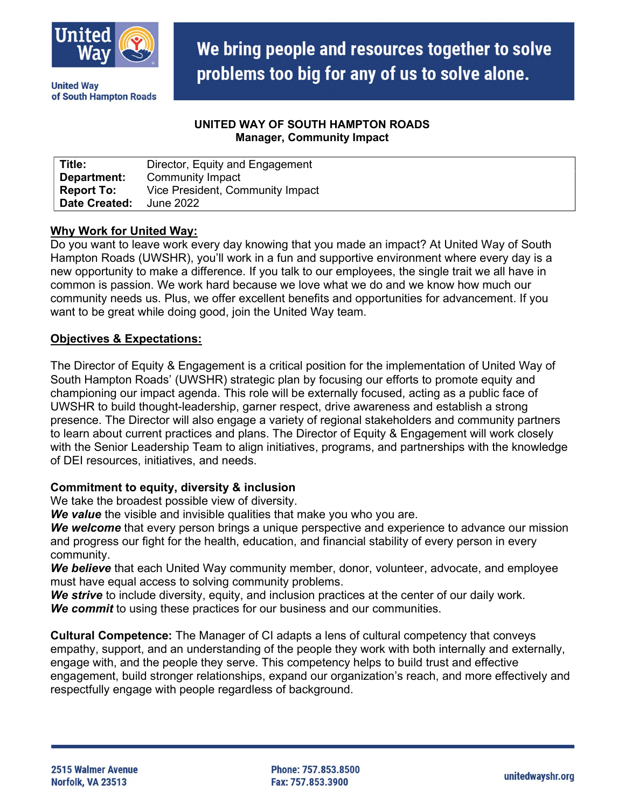

problems too big for any of us to solve alone. **United Way** of South Hampton Roads

#### UNITED WAY OF SOUTH HAMPTON ROADS Manager, Community Impact

We bring people and resources together to solve

| Title:               | Director, Equity and Engagement  |
|----------------------|----------------------------------|
| Department:          | <b>Community Impact</b>          |
| <b>Report To:</b>    | Vice President, Community Impact |
| <b>Date Created:</b> | June 2022                        |

#### Why Work for United Way:

Do you want to leave work every day knowing that you made an impact? At United Way of South Hampton Roads (UWSHR), you'll work in a fun and supportive environment where every day is a new opportunity to make a difference. If you talk to our employees, the single trait we all have in common is passion. We work hard because we love what we do and we know how much our community needs us. Plus, we offer excellent benefits and opportunities for advancement. If you want to be great while doing good, join the United Way team.

#### Objectives & Expectations:

The Director of Equity & Engagement is a critical position for the implementation of United Way of South Hampton Roads' (UWSHR) strategic plan by focusing our efforts to promote equity and championing our impact agenda. This role will be externally focused, acting as a public face of UWSHR to build thought-leadership, garner respect, drive awareness and establish a strong presence. The Director will also engage a variety of regional stakeholders and community partners to learn about current practices and plans. The Director of Equity & Engagement will work closely with the Senior Leadership Team to align initiatives, programs, and partnerships with the knowledge of DEI resources, initiatives, and needs.

#### Commitment to equity, diversity & inclusion

We take the broadest possible view of diversity.

We value the visible and invisible qualities that make you who you are.

We welcome that every person brings a unique perspective and experience to advance our mission and progress our fight for the health, education, and financial stability of every person in every community.

We believe that each United Way community member, donor, volunteer, advocate, and employee must have equal access to solving community problems.

We strive to include diversity, equity, and inclusion practices at the center of our daily work. We commit to using these practices for our business and our communities.

Cultural Competence: The Manager of CI adapts a lens of cultural competency that conveys empathy, support, and an understanding of the people they work with both internally and externally, engage with, and the people they serve. This competency helps to build trust and effective engagement, build stronger relationships, expand our organization's reach, and more effectively and respectfully engage with people regardless of background.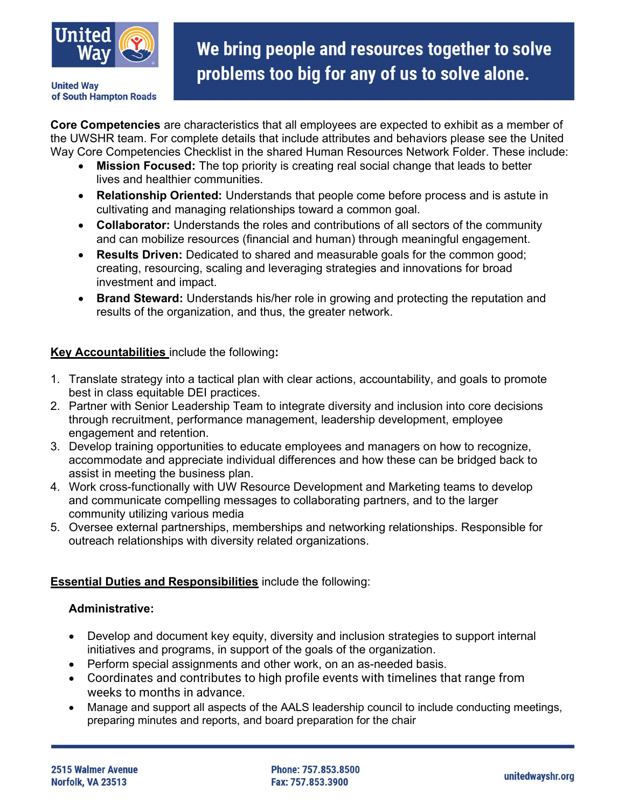

**United Way** of South Hampton Roads

# We bring people and resources together to solve problems too big for any of us to solve alone.

Core Competencies are characteristics that all employees are expected to exhibit as a member of the UWSHR team. For complete details that include attributes and behaviors please see the United Way Core Competencies Checklist in the shared Human Resources Network Folder. These include:

- Mission Focused: The top priority is creating real social change that leads to better lives and healthier communities.
- Relationship Oriented: Understands that people come before process and is astute in cultivating and managing relationships toward a common goal.
- Collaborator: Understands the roles and contributions of all sectors of the community and can mobilize resources (financial and human) through meaningful engagement.
- Results Driven: Dedicated to shared and measurable goals for the common good; creating, resourcing, scaling and leveraging strategies and innovations for broad investment and impact.
- Brand Steward: Understands his/her role in growing and protecting the reputation and results of the organization, and thus, the greater network.

## Key Accountabilities include the following:

- 1. Translate strategy into a tactical plan with clear actions, accountability, and goals to promote best in class equitable DEI practices.
- 2. Partner with Senior Leadership Team to integrate diversity and inclusion into core decisions through recruitment, performance management, leadership development, employee engagement and retention.
- 3. Develop training opportunities to educate employees and managers on how to recognize, accommodate and appreciate individual differences and how these can be bridged back to assist in meeting the business plan.
- 4. Work cross-functionally with UW Resource Development and Marketing teams to develop and communicate compelling messages to collaborating partners, and to the larger community utilizing various media
- 5. Oversee external partnerships, memberships and networking relationships. Responsible for outreach relationships with diversity related organizations.

## **Essential Duties and Responsibilities include the following:**

#### Administrative:

- Develop and document key equity, diversity and inclusion strategies to support internal initiatives and programs, in support of the goals of the organization.
- Perform special assignments and other work, on an as-needed basis.
- Coordinates and contributes to high profile events with timelines that range from weeks to months in advance.
- Manage and support all aspects of the AALS leadership council to include conducting meetings, preparing minutes and reports, and board preparation for the chair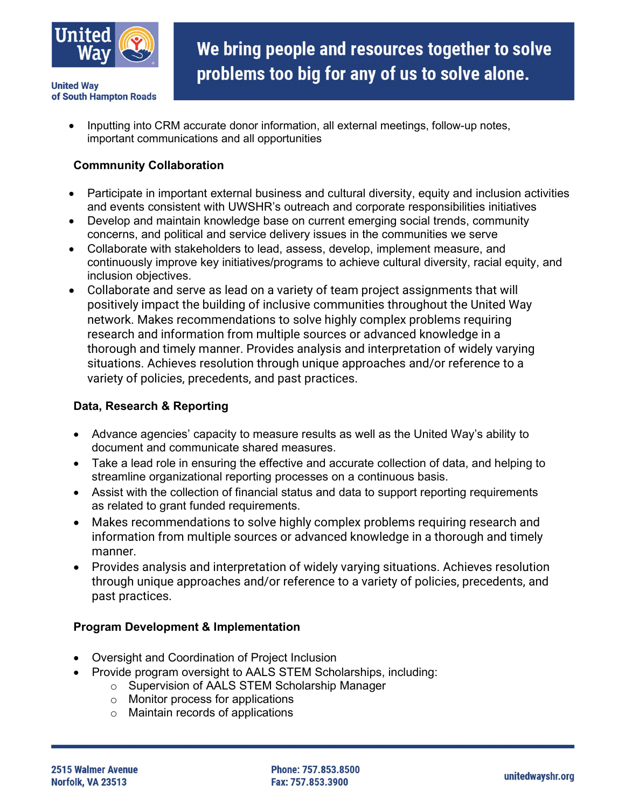

- **United Way** of South Hampton Roads
	- Inputting into CRM accurate donor information, all external meetings, follow-up notes, important communications and all opportunities

### Commnunity Collaboration

- Participate in important external business and cultural diversity, equity and inclusion activities and events consistent with UWSHR's outreach and corporate responsibilities initiatives
- Develop and maintain knowledge base on current emerging social trends, community concerns, and political and service delivery issues in the communities we serve
- Collaborate with stakeholders to lead, assess, develop, implement measure, and continuously improve key initiatives/programs to achieve cultural diversity, racial equity, and inclusion objectives.
- Collaborate and serve as lead on a variety of team project assignments that will positively impact the building of inclusive communities throughout the United Way network. Makes recommendations to solve highly complex problems requiring research and information from multiple sources or advanced knowledge in a thorough and timely manner. Provides analysis and interpretation of widely varying situations. Achieves resolution through unique approaches and/or reference to a variety of policies, precedents, and past practices.

#### Data, Research & Reporting

- Advance agencies' capacity to measure results as well as the United Way's ability to document and communicate shared measures.
- Take a lead role in ensuring the effective and accurate collection of data, and helping to streamline organizational reporting processes on a continuous basis.
- Assist with the collection of financial status and data to support reporting requirements as related to grant funded requirements.
- Makes recommendations to solve highly complex problems requiring research and information from multiple sources or advanced knowledge in a thorough and timely manner.
- Provides analysis and interpretation of widely varying situations. Achieves resolution through unique approaches and/or reference to a variety of policies, precedents, and past practices.

#### Program Development & Implementation

- Oversight and Coordination of Project Inclusion
- Provide program oversight to AALS STEM Scholarships, including:
	- o Supervision of AALS STEM Scholarship Manager
		- o Monitor process for applications
		- o Maintain records of applications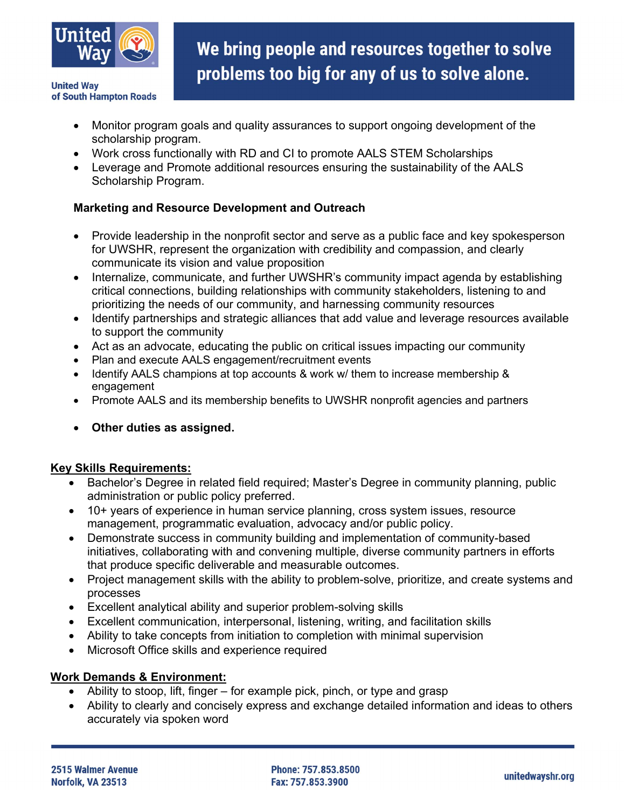

**United Way** of South Hampton Roads

- Monitor program goals and quality assurances to support ongoing development of the scholarship program.
- Work cross functionally with RD and CI to promote AALS STEM Scholarships
- Leverage and Promote additional resources ensuring the sustainability of the AALS Scholarship Program.

## Marketing and Resource Development and Outreach

- Provide leadership in the nonprofit sector and serve as a public face and key spokesperson for UWSHR, represent the organization with credibility and compassion, and clearly communicate its vision and value proposition
- Internalize, communicate, and further UWSHR's community impact agenda by establishing critical connections, building relationships with community stakeholders, listening to and prioritizing the needs of our community, and harnessing community resources
- Identify partnerships and strategic alliances that add value and leverage resources available to support the community
- Act as an advocate, educating the public on critical issues impacting our community
- Plan and execute AALS engagement/recruitment events
- Identify AALS champions at top accounts & work w/ them to increase membership & engagement
- Promote AALS and its membership benefits to UWSHR nonprofit agencies and partners
- Other duties as assigned.

#### Key Skills Requirements:

- Bachelor's Degree in related field required; Master's Degree in community planning, public administration or public policy preferred.
- 10+ years of experience in human service planning, cross system issues, resource management, programmatic evaluation, advocacy and/or public policy.
- Demonstrate success in community building and implementation of community-based initiatives, collaborating with and convening multiple, diverse community partners in efforts that produce specific deliverable and measurable outcomes.
- Project management skills with the ability to problem-solve, prioritize, and create systems and processes
- Excellent analytical ability and superior problem-solving skills
- Excellent communication, interpersonal, listening, writing, and facilitation skills
- Ability to take concepts from initiation to completion with minimal supervision
- Microsoft Office skills and experience required

#### Work Demands & Environment:

- Ability to stoop, lift, finger for example pick, pinch, or type and grasp
- Ability to clearly and concisely express and exchange detailed information and ideas to others accurately via spoken word